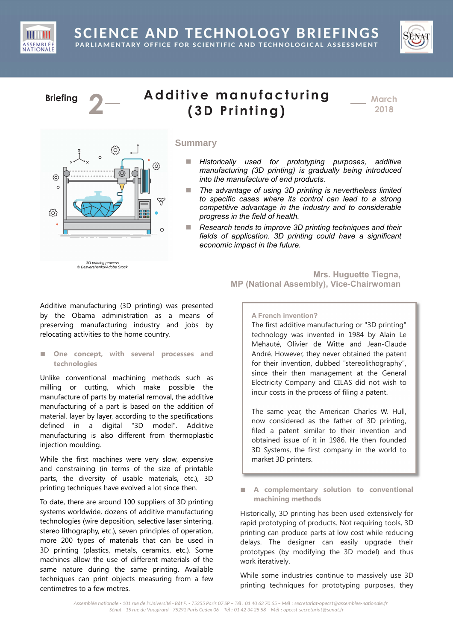



# **Briefing 2**

ල  $\circ$ 

හි



\_\_\_ **March 2018**

# **Summary**

- *Historically used for prototyping purposes, additive manufacturing (3D printing) is gradually being introduced into the manufacture of end products.*
- The advantage of using 3D printing is nevertheless limited *to specific cases where its control can lead to a strong competitive advantage in the industry and to considerable progress in the field of health.*
- Research tends to improve 3D printing techniques and their *fields of application. 3D printing could have a significant economic impact in the future.*

 3D printing process © Bezvershenko/Adobe Stock

{6}

ලා

 $\widetilde{\mathtt{Y}}$ 

 $\circ$ 

**Mrs. Huguette Tiegna, MP (National Assembly), Vice-Chairwoman**

Additive manufacturing (3D printing) was presented by the Obama administration as a means of preserving manufacturing industry and jobs by relocating activities to the home country.

### **■ One concept, with several processes and technologies**

Unlike conventional machining methods such as milling or cutting, which make possible the manufacture of parts by material removal, the additive manufacturing of a part is based on the addition of material, layer by layer, according to the specifications defined in a digital "3D model". Additive manufacturing is also different from thermoplastic injection moulding.

While the first machines were very slow, expensive and constraining (in terms of the size of printable parts, the diversity of usable materials, etc.), 3D printing techniques have evolved a lot since then.

To date, there are around 100 suppliers of 3D printing systems worldwide, dozens of additive manufacturing technologies (wire deposition, selective laser sintering, stereo lithography, etc.), seven principles of operation, more 200 types of materials that can be used in 3D printing (plastics, metals, ceramics, etc.). Some machines allow the use of different materials of the same nature during the same printing. Available techniques can print objects measuring from a few centimetres to a few metres.

**A French invention?**

The first additive manufacturing or "3D printing" technology was invented in 1984 by Alain Le Mehauté, Olivier de Witte and Jean-Claude André. However, they never obtained the patent for their invention, dubbed "stereolithography", since their then management at the General Electricity Company and CILAS did not wish to incur costs in the process of filing a patent.

The same year, the American Charles W. Hull, now considered as the father of 3D printing, filed a patent similar to their invention and obtained issue of it in 1986. He then founded 3D Systems, the first company in the world to market 3D printers.

■ **A** complementary solution to conventional **machining methods** 

Historically, 3D printing has been used extensively for rapid prototyping of products. Not requiring tools, 3D printing can produce parts at low cost while reducing delays. The designer can easily upgrade their prototypes (by modifying the 3D model) and thus work iteratively.

While some industries continue to massively use 3D printing techniques for prototyping purposes, they

*Assemblée nationale - 101 rue de l'Université - Bât F. - 75355 Paris 07 SP – Tél : 01 40 63 70 65 – Mél : secretariat-opecst@assemblee-nationale.fr Sénat - 15 rue de Vaugirard - 75291 Paris Cedex 06 – Tél : 01 42 34 25 58 – Mél : opecst-secretariat@senat.fr*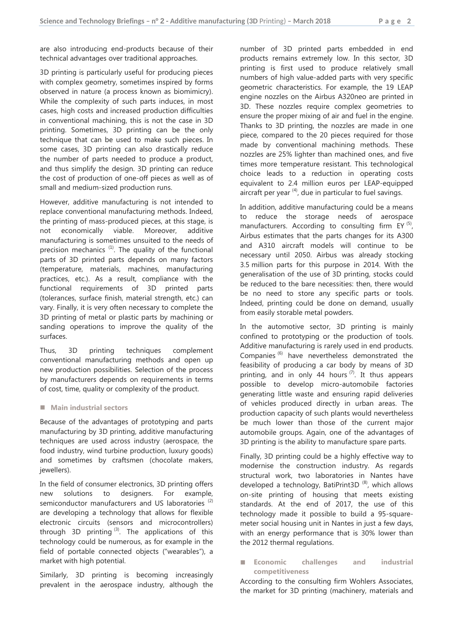are also introducing end-products because of their technical advantages over traditional approaches.

3D printing is particularly useful for producing pieces with complex geometry, sometimes inspired by forms observed in nature (a process known as biomimicry). While the complexity of such parts induces, in most cases, high costs and increased production difficulties in conventional machining, this is not the case in 3D printing. Sometimes, 3D printing can be the only technique that can be used to make such pieces. In some cases, 3D printing can also drastically reduce the number of parts needed to produce a product, and thus simplify the design. 3D printing can reduce the cost of production of one-off pieces as well as of small and medium-sized production runs.

However, additive manufacturing is not intended to replace conventional manufacturing methods. Indeed, the printing of mass-produced pieces, at this stage, is not economically viable. Moreover, additive manufacturing is sometimes unsuited to the needs of precision mechanics  $(1)$ . The quality of the functional parts of 3D printed parts depends on many factors (temperature, materials, machines, manufacturing practices, etc.). As a result, compliance with the functional requirements of 3D printed parts (tolerances, surface finish, material strength, etc.) can vary. Finally, it is very often necessary to complete the 3D printing of metal or plastic parts by machining or sanding operations to improve the quality of the surfaces.

Thus, 3D printing techniques complement conventional manufacturing methods and open up new production possibilities. Selection of the process by manufacturers depends on requirements in terms of cost, time, quality or complexity of the product.

## ■ Main industrial sectors

Because of the advantages of prototyping and parts manufacturing by 3D printing, additive manufacturing techniques are used across industry (aerospace, the food industry, wind turbine production, luxury goods) and sometimes by craftsmen (chocolate makers, jewellers).

In the field of consumer electronics, 3D printing offers new solutions to designers. For example, semiconductor manufacturers and US laboratories<sup>(2)</sup> are developing a technology that allows for flexible electronic circuits (sensors and microcontrollers) through 3D printing  $(3)$ . The applications of this technology could be numerous, as for example in the field of portable connected objects ("wearables"), a market with high potential.

Similarly, 3D printing is becoming increasingly prevalent in the aerospace industry, although the number of 3D printed parts embedded in end products remains extremely low. In this sector, 3D printing is first used to produce relatively small numbers of high value-added parts with very specific geometric characteristics. For example, the 19 LEAP engine nozzles on the Airbus A320neo are printed in 3D. These nozzles require complex geometries to ensure the proper mixing of air and fuel in the engine. Thanks to 3D printing, the nozzles are made in one piece, compared to the 20 pieces required for those made by conventional machining methods. These nozzles are 25% lighter than machined ones, and five times more temperature resistant. This technological choice leads to a reduction in operating costs equivalent to 2.4 million euros per LEAP-equipped aircraft per year  $(4)$ , due in particular to fuel savings.

In addition, additive manufacturing could be a means to reduce the storage needs of aerospace manufacturers. According to consulting firm EY<sup>(5)</sup>, Airbus estimates that the parts changes for its A300 and A310 aircraft models will continue to be necessary until 2050. Airbus was already stocking 3.5 million parts for this purpose in 2014. With the generalisation of the use of 3D printing, stocks could be reduced to the bare necessities: then, there would be no need to store any specific parts or tools. Indeed, printing could be done on demand, usually from easily storable metal powders.

In the automotive sector, 3D printing is mainly confined to prototyping or the production of tools. Additive manufacturing is rarely used in end products. Companies (6) have nevertheless demonstrated the feasibility of producing a car body by means of 3D printing, and in only 44 hours<sup> $(7)$ </sup>. It thus appears possible to develop micro-automobile factories generating little waste and ensuring rapid deliveries of vehicles produced directly in urban areas. The production capacity of such plants would nevertheless be much lower than those of the current major automobile groups. Again, one of the advantages of 3D printing is the ability to manufacture spare parts.

Finally, 3D printing could be a highly effective way to modernise the construction industry. As regards structural work, two laboratories in Nantes have developed a technology, BatiPrint3D<sup> $(8)$ </sup>, which allows on-site printing of housing that meets existing standards. At the end of 2017, the use of this technology made it possible to build a 95-squaremeter social housing unit in Nantes in just a few days, with an energy performance that is 30% lower than the 2012 thermal regulations.

■ **Economic** challenges and industrial **competitiveness**

According to the consulting firm Wohlers Associates, the market for 3D printing (machinery, materials and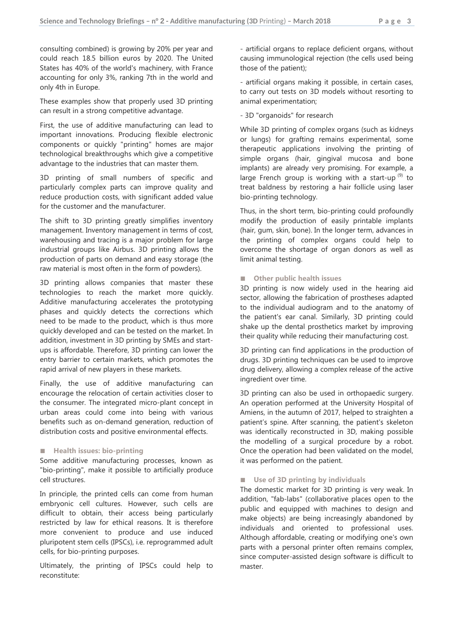consulting combined) is growing by 20% per year and could reach 18.5 billion euros by 2020. The United States has 40% of the world's machinery, with France accounting for only 3%, ranking 7th in the world and only 4th in Europe.

These examples show that properly used 3D printing can result in a strong competitive advantage.

First, the use of additive manufacturing can lead to important innovations. Producing flexible electronic components or quickly "printing" homes are major technological breakthroughs which give a competitive advantage to the industries that can master them.

3D printing of small numbers of specific and particularly complex parts can improve quality and reduce production costs, with significant added value for the customer and the manufacturer.

The shift to 3D printing greatly simplifies inventory management. Inventory management in terms of cost, warehousing and tracing is a major problem for large industrial groups like Airbus. 3D printing allows the production of parts on demand and easy storage (the raw material is most often in the form of powders).

3D printing allows companies that master these technologies to reach the market more quickly. Additive manufacturing accelerates the prototyping phases and quickly detects the corrections which need to be made to the product, which is thus more quickly developed and can be tested on the market. In addition, investment in 3D printing by SMEs and startups is affordable. Therefore, 3D printing can lower the entry barrier to certain markets, which promotes the rapid arrival of new players in these markets.

Finally, the use of additive manufacturing can encourage the relocation of certain activities closer to the consumer. The integrated micro-plant concept in urban areas could come into being with various benefits such as on-demand generation, reduction of distribution costs and positive environmental effects.

#### ■ **Health issues: bio-printing**

Some additive manufacturing processes, known as "bio-printing", make it possible to artificially produce cell structures.

In principle, the printed cells can come from human embryonic cell cultures. However, such cells are difficult to obtain, their access being particularly restricted by law for ethical reasons. It is therefore more convenient to produce and use induced pluripotent stem cells (IPSCs), i.e. reprogrammed adult cells, for bio-printing purposes.

Ultimately, the printing of IPSCs could help to reconstitute:

- artificial organs to replace deficient organs, without causing immunological rejection (the cells used being those of the patient);

- artificial organs making it possible, in certain cases, to carry out tests on 3D models without resorting to animal experimentation;

- 3D "organoids" for research

While 3D printing of complex organs (such as kidneys or lungs) for grafting remains experimental, some therapeutic applications involving the printing of simple organs (hair, gingival mucosa and bone implants) are already very promising. For example, a large French group is working with a start-up  $(9)$  to treat baldness by restoring a hair follicle using laser bio-printing technology.

Thus, in the short term, bio-printing could profoundly modify the production of easily printable implants (hair, gum, skin, bone). In the longer term, advances in the printing of complex organs could help to overcome the shortage of organ donors as well as limit animal testing.

#### **■ Other public health issues**

3D printing is now widely used in the hearing aid sector, allowing the fabrication of prostheses adapted to the individual audiogram and to the anatomy of the patient's ear canal. Similarly, 3D printing could shake up the dental prosthetics market by improving their quality while reducing their manufacturing cost.

3D printing can find applications in the production of drugs. 3D printing techniques can be used to improve drug delivery, allowing a complex release of the active ingredient over time.

3D printing can also be used in orthopaedic surgery. An operation performed at the University Hospital of Amiens, in the autumn of 2017, helped to straighten a patient's spine. After scanning, the patient's skeleton was identically reconstructed in 3D, making possible the modelling of a surgical procedure by a robot. Once the operation had been validated on the model, it was performed on the patient.

## ■ **Use of 3D printing by individuals**

The domestic market for 3D printing is very weak. In addition, "fab-labs" (collaborative places open to the public and equipped with machines to design and make objects) are being increasingly abandoned by individuals and oriented to professional uses. Although affordable, creating or modifying one's own parts with a personal printer often remains complex, since computer-assisted design software is difficult to master.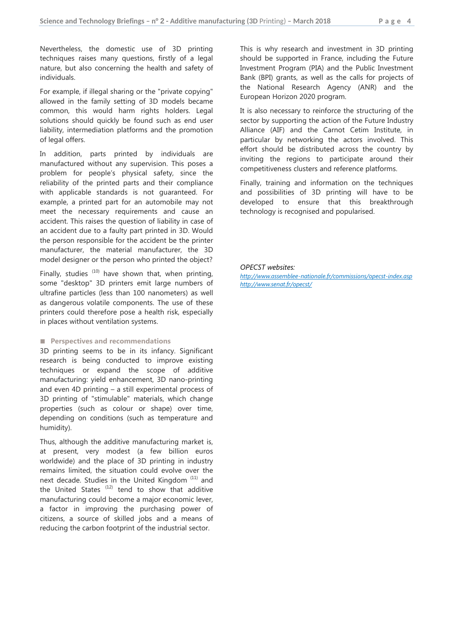Nevertheless, the domestic use of 3D printing techniques raises many questions, firstly of a legal nature, but also concerning the health and safety of individuals.

For example, if illegal sharing or the "private copying" allowed in the family setting of 3D models became common, this would harm rights holders. Legal solutions should quickly be found such as end user liability, intermediation platforms and the promotion of legal offers.

In addition, parts printed by individuals are manufactured without any supervision. This poses a problem for people's physical safety, since the reliability of the printed parts and their compliance with applicable standards is not guaranteed. For example, a printed part for an automobile may not meet the necessary requirements and cause an accident. This raises the question of liability in case of an accident due to a faulty part printed in 3D. Would the person responsible for the accident be the printer manufacturer, the material manufacturer, the 3D model designer or the person who printed the object?

Finally, studies  $(10)$  have shown that, when printing, some "desktop" 3D printers emit large numbers of ultrafine particles (less than 100 nanometers) as well as dangerous volatile components. The use of these printers could therefore pose a health risk, especially in places without ventilation systems.

#### ■ **Perspectives and recommendations**

3D printing seems to be in its infancy. Significant research is being conducted to improve existing techniques or expand the scope of additive manufacturing: yield enhancement, 3D nano-printing and even 4D printing – a still experimental process of 3D printing of "stimulable" materials, which change properties (such as colour or shape) over time, depending on conditions (such as temperature and humidity).

Thus, although the additive manufacturing market is, at present, very modest (a few billion euros worldwide) and the place of 3D printing in industry remains limited, the situation could evolve over the next decade. Studies in the United Kingdom<sup>(11)</sup> and the United States  $(12)$  tend to show that additive manufacturing could become a major economic lever, a factor in improving the purchasing power of citizens, a source of skilled jobs and a means of reducing the carbon footprint of the industrial sector.

This is why research and investment in 3D printing should be supported in France, including the Future Investment Program (PIA) and the Public Investment Bank (BPI) grants, as well as the calls for projects of the National Research Agency (ANR) and the European Horizon 2020 program.

It is also necessary to reinforce the structuring of the sector by supporting the action of the Future Industry Alliance (AIF) and the Carnot Cetim Institute, in particular by networking the actors involved. This effort should be distributed across the country by inviting the regions to participate around their competitiveness clusters and reference platforms.

Finally, training and information on the techniques and possibilities of 3D printing will have to be developed to ensure that this breakthrough technology is recognised and popularised.

#### *OPECST websites:*

*http://www.assemblee-nationale.fr/commissions/opecst-index.asp http://www.senat.fr/opecst/*